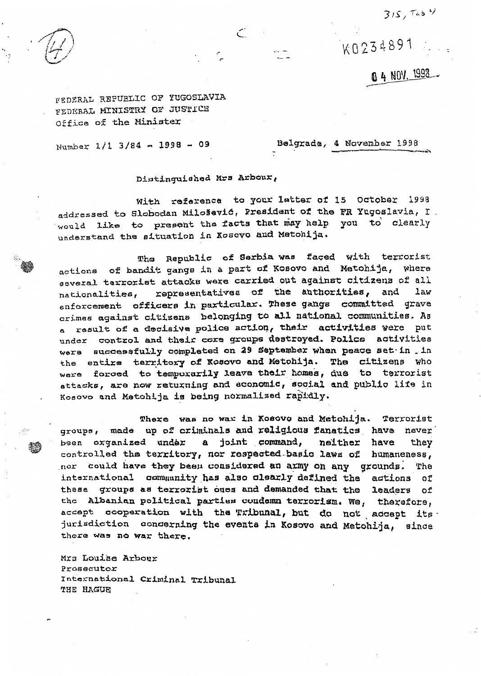$315, 7454$ 



K0234891

0 4 NOV. 1998

FEDERAL REPUBLIC OF YUGOSLAVIA FEDERAL MINISTRY OF JUSTICE Office of the Minister

Number 1/1 3/84 - 1998 - 09

Belgrade, 4 November 1998

Distinguished Mrs Arbour,

With reference to your latter of 15 October 1998 addressed to Slobodan Milošević, President of the FR Yugoslavia, I. would like to present the facts that may help you to clearly understand the situation in Kosovo and Metohija.

Republic of Serbia was faced with terrorist The actions of bandit gangs in a part of Kosovo and Metohija, where several terrorist attacks were carried out against citizens of all nationalities, representatives of the authorities, and law enforcement officers in particular. These gangs committed grave crimes against citizens belonging to all national communities. As a result of a decisive police action, their activities were put under control and their core groups destroyed. Police activities were successfully completed on 29 September when peace set in . in the entire territory of Kosovo and Metohija. The citizens who were forced to temporarily leave their homes, due to terrorist attacks, are now returning and economic, social and public life in Kosovo and Matohija is being normalized rapidly.

There was no war in Kosovo and Metohija. Terrorist groups, made up of criminals and religious fanatics have never been organized under a joint command, neither have they controlled the territory, nor respected basic laws of humaneness, nor could have they been considered an army on any qrounds. The international community has also clearly defined the actions оf these groups as terrorist ones and demanded that the leaders of the Albanian political parties condemn terrorism. We, therefore, accept cooperation with the Tribunal, but do not accept its jurisdiction concerning the events in Kosovo and Metohija, since there was no war there.

Mrs Louise Arbour Prosecutor International Criminal Tribunal THE HAGUE